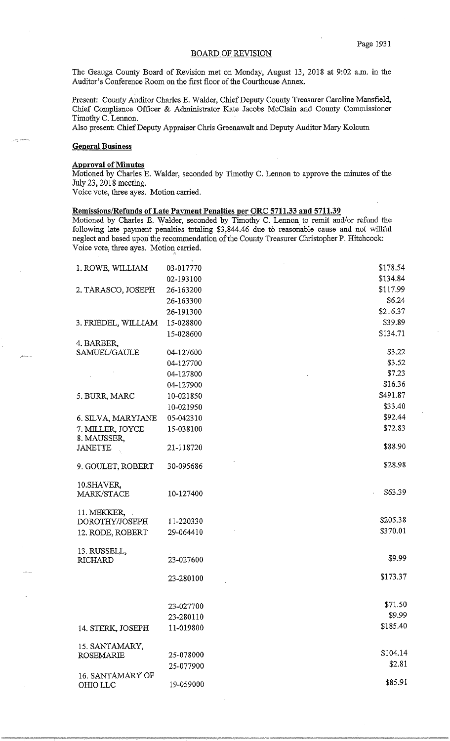# BOARD OF REVISION

The Geauga County Board of Revision met on Monday, August 13, 2018 at 9:02 a.m. in the Auditor's Conference Room on the first floor of the Courthouse Annex.

Present: County Auditor Charles E. Walder, Chief Deputy County Treasurer Caroline Mansfield, Chief Compliance Officer & Administrator Kate Jacobs McClain and County Commissioner Timothy C. Lennon.

Also present: Chief Deputy Appraiser Chris Greenawalt and Deputy Auditor Mary Kolcum

## **General Business**

,·--

#### **Approval of Minutes**

Motioned by Charles E. Walder, seconded by Timothy C. Lennon to approve the minutes of the July 23, 2018 meeting.

Voice vote, three ayes. Motion carried.

## **Remissions/Refunds of Late Payment Penalties per ORC 5711.33 and 5711.39**

Motioned by Charles E. Walder, seconded by Timothy C. Lennon to remit and/or refund the following late payment penalties totaling \$3,844.46 due to reasonable cause and not willful neglect and based upon the recommendation of the County Treasurer Christopher P. Hitchcock: Voice vote, three ayes. Motion carried.

| 1. ROWE, WILLIAM                | 03-017770 | \$178.54 |
|---------------------------------|-----------|----------|
|                                 | 02-193100 | \$134.84 |
| 2. TARASCO, JOSEPH              | 26-163200 | \$117.99 |
|                                 | 26-163300 | \$6.24   |
|                                 | 26-191300 | \$216.37 |
| 3. FRIEDEL, WILLIAM             | 15-028800 | \$39.89  |
|                                 | 15-028600 | \$134.71 |
| 4. BARBER,                      |           |          |
| SAMUEL/GAULE                    | 04-127600 | \$3.22   |
|                                 | 04-127700 | \$3.52   |
|                                 | 04-127800 | \$7.23   |
|                                 | 04-127900 | \$16.36  |
| 5. BURR, MARC                   | 10-021850 | \$491.87 |
|                                 | 10-021950 | \$33.40  |
| 6. SILVA, MARYJANE              | 05-042310 | \$92.44  |
| 7. MILLER, JOYCE<br>8. MAUSSER, | 15-038100 | \$72.83  |
| <b>JANETTE</b>                  | 21-118720 | \$88.90  |
|                                 |           |          |
| 9. GOULET, ROBERT               | 30-095686 | \$28.98  |
| 10. SHAVER,                     |           |          |
| MARK/STACE                      | 10-127400 | \$63.39  |
| 11. MEKKER,                     |           |          |
| DOROTHY/JOSEPH                  | 11-220330 | \$205.38 |
| 12. RODE, ROBERT                | 29-064410 | \$370.01 |
|                                 |           |          |
| 13. RUSSELL,                    |           |          |
| <b>RICHARD</b>                  | 23-027600 | \$9.99   |
|                                 | 23-280100 | \$173.37 |
|                                 |           |          |
|                                 | 23-027700 | \$71.50  |
|                                 | 23-280110 | \$9.99   |
| 14. STERK, JOSEPH               | 11-019800 | \$185.40 |
|                                 |           |          |
| 15. SANTAMARY,                  |           | \$104.14 |
| <b>ROSEMARIE</b>                | 25-078000 | \$2.81   |
| 16. SANTAMARY OF                | 25-077900 |          |
| OHIO LLC                        | 19-059000 | \$85.91  |
|                                 |           |          |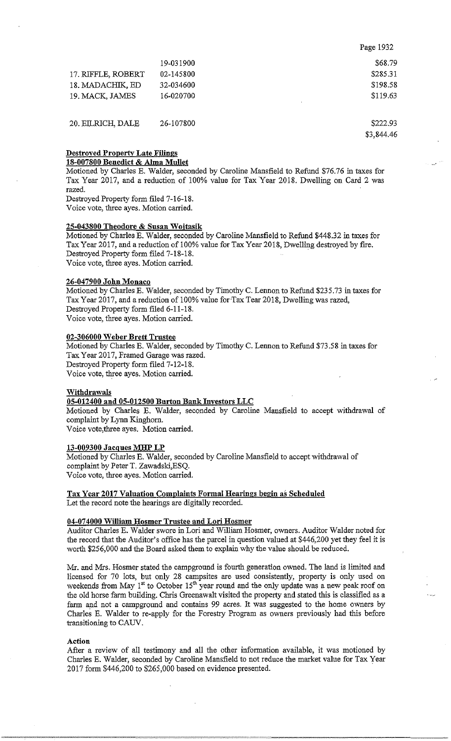|                    |           | Page 1932 |
|--------------------|-----------|-----------|
|                    | 19-031900 | \$68.79   |
| 17. RIFFLE, ROBERT | 02-145800 | \$285.31  |
| 18. MADACHIK, ED   | 32-034600 | \$198.58  |
| 19. MACK, JAMES    | 16-020700 | \$119.63  |
| 20. EILRICH, DALE  | 26-107800 | \$222.93  |

\$3,844.46

## Destroyed Property Late Filings 18-007800 Benedict & Alma Mullet

Motioned by Charles E. Walder, seconded by Caroline Mansfield to Refund \$76.76 in taxes for Tax Year 2017, and a reduction of 100% value for Tax Year 2018. Dwelling on Card 2 was razed.

Destroyed Property form filed 7-16-18. Voice vote, three ayes. Motion carried.

## 25-043800 Theodore & Susan Wojtasik

Motioned by Charles E. Walder, seconded by Caroline Mansfield to Refund \$448.32 in taxes for Tax Year 2017, and a reduction of 100% value for Tax Year 2018, Dwelling destroyed by fire. Destroyed Property form filed 7-18-18. Voice vote, three ayes. Motion carried.

## 26-047900 John Monaco

Motioned by Charles E. Walder, seconded by Timothy C. Lennon to Refund \$235.73 in taxes for Tax Year 2017, and a reduction of 100% value for-Tax Tear 2018, Dwelling was razed, Destroyed Property form filed 6-11-18. Voice vote, three ayes. Motion carried.

## 02-306000 Weber Brett Trustee

Motioned by Charles E. Walder, seconded by Timothy C. Lennon to Refund \$73.58 in taxes for Tax Year 2017, Framed Garage was razed. Destroyed Property form filed 7-12-18. Voice vote, three ayes. Motion carried.

### Withdrawals

# 05-012400 and 05-012500 Burton Bank Investors LLC

Motioned by Charles E. Walder, seconded by Caroline Mansfield to accept withdrawal of complaint by Lynn Kinghorn.

Voice vote,three ayes. Motion carried.

## 13-009300 Jacques MHP LP

Motioned by Charles E. Walder, seconded by Caroline Mansfield to accept withdrawal of complaint by Peter T. Zawadski,ESQ. Voice vote, three ayes. Motion carried.

Tax Year 2017 Valuation Complaints Formal Hearings begin as Scheduled Let the record note the hearings are digitally recorded.

## 04-07 4000 William Hosmer Trustee and Lori Hosmer

Auditor Charles E. Walder swore in Lori and William Hosmer, owners. Auditor Walder noted for the record that the Auditor's office has the parcel in question valued at \$446,200 yet they feel it is worth \$256,000 and the Board asked them to explain why the value should be reduced.

Mr. and Mrs. Hosmer stated the campground is fourth generation owned. The land is limited and licensed for 70 lots, but only 28 campsites are used consistently, property is only used on weekends from May  $1^{st}$  to October  $15^{th}$  year round and the only update was a new peak roof on the old horse farm building. Chris Greenawalt visited the property and stated this is classified as a farm and not a campground and contains 99 acres. It was suggested to the home owners by Charles E. Walder to re-apply for the Forestry Program as owners previously had this before transitioning to CAUV.

### Action

After a review of all testimony and all the other information available, it was motioned by Charles E. Walder, seconded by Caroline Mansfield to not reduce the market value for Tax Year 2017 form \$446,200 to \$265,000 based on evidence presented.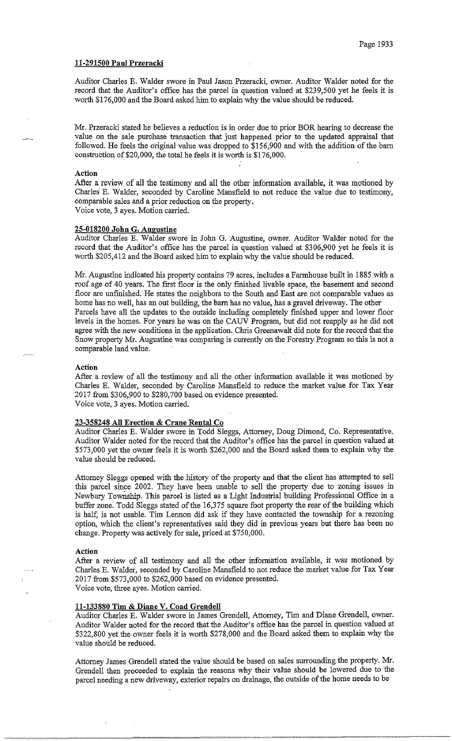## **11-291500 Paul Przeracki**

Auditor Charles E. Walder swore in Paul Jason Przeracki, owner. Auditor Walder noted for the record that the Auditor's office has the parcel in question valued at \$239,500 yet he feels it is worth \$176,000 and the Board asked him to explain why the value should be reduced.

Mr. Przeracki stated he believes a reduction is in order due to prior BOR hearing to decrease the value on the sale purchase transaction that just happened prior to the updated appraisal that followed. He feels the original value was dropped to \$156,900 and with the addition of the barn construction of \$20,000, the total he feels it is worth is \$176,000.

#### **Action**

After a review of all the testimony and all the other information available, it was motioned by Charles E. Walder, seconded by Caroline Mansfield to not reduce the value due to testimony, comparable sales and a prior reduction on the property. Voice vote, 3 ayes. Motion carried.

### **25-018200 John G. Augustine**

Auditor Charles E. Walder swore in John G. Augustine, owner. Auditor Walder noted for the record that the Auditor's office has the parcel in question valued at \$306,900 yet he feels it is worth \$205,412 and the Board asked him to explain why the value should be reduced.

Mr. Augustine indicated his property contains 79 acres, includes a Farmhouse built in 1885 with a roof age of 40 years. The first floor is the only finished livable space, the basement and second floor are unfinished. He states the neighbors to the South and East are not comparable values as home has no well, has an out building, the barn has no value, has a gravel driveway. The other Parcels have all the updates to the outside including completely finished upper and lower floor levels in the homes. For years he was on the CAUV Program, but did not reapply as he did not agree with the new conditions in the application. Chris Greenawalt did note for the record that the Snow property Mr. Augustine was comparing is currently on the Forestry Program so this is not a comparable land value.

#### **Action**

After a review of all the testimony and all the other information available it was motioned by Charles E. Walder, seconded by Caroline Mansfield to reduce the market value for Tax Year 2017 from \$306,900 to \$280,700 based on evidence presented. Voice vote, 3 ayes. Motion carried.

## **23-358248 All Erection & Crane Rental Co**

Auditor Charles E. Walder swore in Todd Sleggs, Attorney, Doug Dimond, Co. Representative. Auditor Walder noted for the record that the Auditor's office has the parcel in question valued at \$573,000 yet the owner feels it is worth \$262,000 and the Board asked them to explain why the value should be reduced.

Attorney Sleggs opened with the history of the property and that the client has attempted to sell this parcel since 2002. They have been unable to sell the property due to zoning issues in Newbury Township. This parcel is listed as a Light Industrial building Professional Office in a buffer zone. Todd Sleggs stated of the 16,375 square foot property the rear of the building which is half, is not usable. Tim Lennon did ask if they have contacted the township for a rezoning option, which the client's representatives said they did in previous years but there has been no change. Property was actively for sale, priced at \$750,000.

#### **Action**

After a review of all testimony and all the other information available, it was motioned by Charles E. Walder, seconded by Caroline Mansfield to not reduce the market value for Tax Year 2017 from \$573,000 to \$262,000 based on evidence presented. Voice vote, three ayes. Motion carried.

#### **11-133880 Tim & Diane V. Coad Grendell**

Auditor Charles E. Walder swore in James Grendell, Attorney, Tim and Diane Grendell, owner. Auditor Walder noted for the record that the Auditor's office has the parcel in question valued at \$322,800 yet the owner feels it is worth \$278,000 and the Board asked them to explain why the value should be reduced.

Attorney James Grendell stated the value should be based on sales surrounding the property. Mr. Grendell then proceeded to explain the reasons why their value should be lowered due to the parcel needing a new driveway, exterior repairs on drainage, the outside of the home needs to be